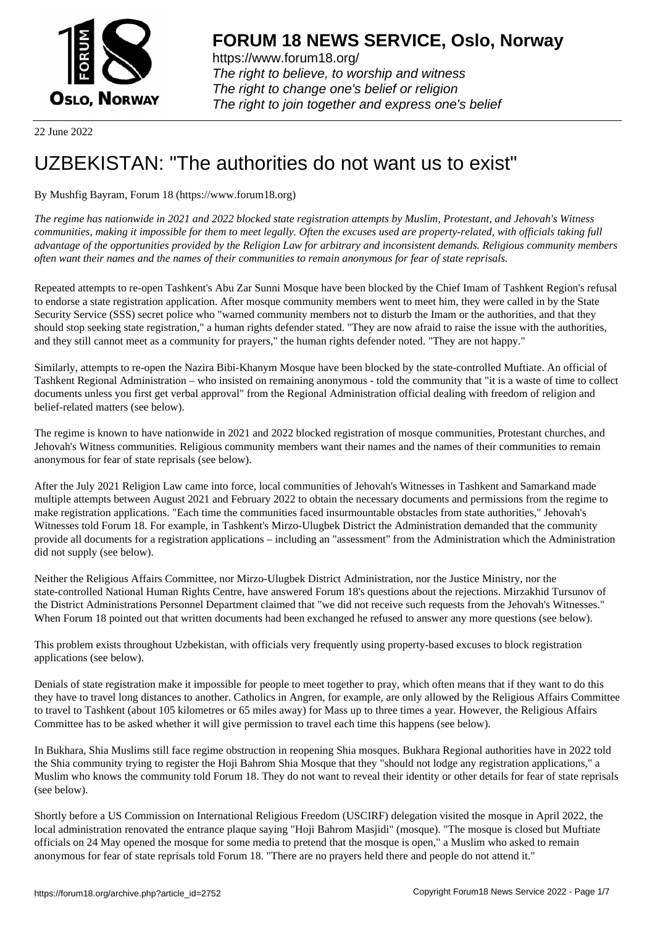

https://www.forum18.org/ The right to believe, to worship and witness The right to change one's belief or religion [The right to join together a](https://www.forum18.org/)nd express one's belief

22 June 2022

# [UZBEKISTAN:](https://www.forum18.org) "The authorities do not want us to exist"

## By Mushfig Bayram, Forum 18 (https://www.forum18.org)

*The regime has nationwide in 2021 and 2022 blocked state registration attempts by Muslim, Protestant, and Jehovah's Witness communities, making it impossible for them to meet legally. Often the excuses used are property-related, with officials taking full advantage of the opportunities provided by the Religion Law for arbitrary and inconsistent demands. Religious community members often want their names and the names of their communities to remain anonymous for fear of state reprisals.*

Repeated attempts to re-open Tashkent's Abu Zar Sunni Mosque have been blocked by the Chief Imam of Tashkent Region's refusal to endorse a state registration application. After mosque community members went to meet him, they were called in by the State Security Service (SSS) secret police who "warned community members not to disturb the Imam or the authorities, and that they should stop seeking state registration," a human rights defender stated. "They are now afraid to raise the issue with the authorities, and they still cannot meet as a community for prayers," the human rights defender noted. "They are not happy."

Similarly, attempts to re-open the Nazira Bibi-Khanym Mosque have been blocked by the state-controlled Muftiate. An official of Tashkent Regional Administration – who insisted on remaining anonymous - told the community that "it is a waste of time to collect documents unless you first get verbal approval" from the Regional Administration official dealing with freedom of religion and belief-related matters (see below).

The regime is known to have nationwide in 2021 and 2022 blocked registration of mosque communities, Protestant churches, and Jehovah's Witness communities. Religious community members want their names and the names of their communities to remain anonymous for fear of state reprisals (see below).

After the July 2021 Religion Law came into force, local communities of Jehovah's Witnesses in Tashkent and Samarkand made multiple attempts between August 2021 and February 2022 to obtain the necessary documents and permissions from the regime to make registration applications. "Each time the communities faced insurmountable obstacles from state authorities," Jehovah's Witnesses told Forum 18. For example, in Tashkent's Mirzo-Ulugbek District the Administration demanded that the community provide all documents for a registration applications – including an "assessment" from the Administration which the Administration did not supply (see below).

Neither the Religious Affairs Committee, nor Mirzo-Ulugbek District Administration, nor the Justice Ministry, nor the state-controlled National Human Rights Centre, have answered Forum 18's questions about the rejections. Mirzakhid Tursunov of the District Administrations Personnel Department claimed that "we did not receive such requests from the Jehovah's Witnesses." When Forum 18 pointed out that written documents had been exchanged he refused to answer any more questions (see below).

This problem exists throughout Uzbekistan, with officials very frequently using property-based excuses to block registration applications (see below).

Denials of state registration make it impossible for people to meet together to pray, which often means that if they want to do this they have to travel long distances to another. Catholics in Angren, for example, are only allowed by the Religious Affairs Committee to travel to Tashkent (about 105 kilometres or 65 miles away) for Mass up to three times a year. However, the Religious Affairs Committee has to be asked whether it will give permission to travel each time this happens (see below).

In Bukhara, Shia Muslims still face regime obstruction in reopening Shia mosques. Bukhara Regional authorities have in 2022 told the Shia community trying to register the Hoji Bahrom Shia Mosque that they "should not lodge any registration applications," a Muslim who knows the community told Forum 18. They do not want to reveal their identity or other details for fear of state reprisals (see below).

Shortly before a US Commission on International Religious Freedom (USCIRF) delegation visited the mosque in April 2022, the local administration renovated the entrance plaque saying "Hoji Bahrom Masjidi" (mosque). "The mosque is closed but Muftiate officials on 24 May opened the mosque for some media to pretend that the mosque is open," a Muslim who asked to remain anonymous for fear of state reprisals told Forum 18. "There are no prayers held there and people do not attend it."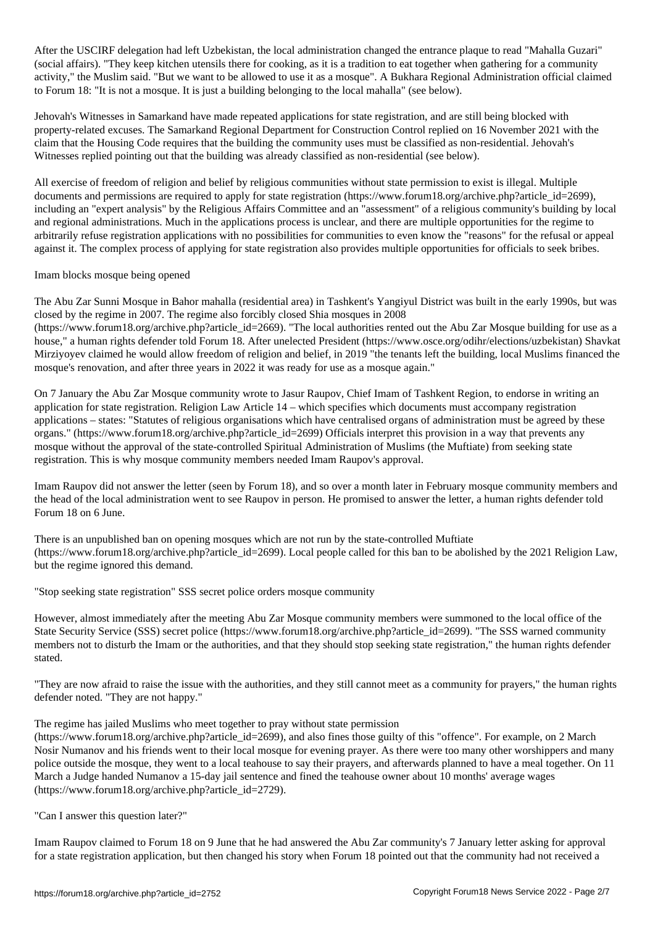After the USCIRF delegation had left uzbekistan, the entrance planet to read the entrance planet to read the e (social affairs). "They keep kitchen utensils there for cooking, as it is a tradition to eat together when gathering for a community activity," the Muslim said. "But we want to be allowed to use it as a mosque". A Bukhara Regional Administration official claimed to Forum 18: "It is not a mosque. It is just a building belonging to the local mahalla" (see below).

Jehovah's Witnesses in Samarkand have made repeated applications for state registration, and are still being blocked with property-related excuses. The Samarkand Regional Department for Construction Control replied on 16 November 2021 with the claim that the Housing Code requires that the building the community uses must be classified as non-residential. Jehovah's Witnesses replied pointing out that the building was already classified as non-residential (see below).

All exercise of freedom of religion and belief by religious communities without state permission to exist is illegal. Multiple documents and permissions are required to apply for state registration (https://www.forum18.org/archive.php?article\_id=2699), including an "expert analysis" by the Religious Affairs Committee and an "assessment" of a religious community's building by local and regional administrations. Much in the applications process is unclear, and there are multiple opportunities for the regime to arbitrarily refuse registration applications with no possibilities for communities to even know the "reasons" for the refusal or appeal against it. The complex process of applying for state registration also provides multiple opportunities for officials to seek bribes.

### Imam blocks mosque being opened

The Abu Zar Sunni Mosque in Bahor mahalla (residential area) in Tashkent's Yangiyul District was built in the early 1990s, but was closed by the regime in 2007. The regime also forcibly closed Shia mosques in 2008

(https://www.forum18.org/archive.php?article\_id=2669). "The local authorities rented out the Abu Zar Mosque building for use as a house," a human rights defender told Forum 18. After unelected President (https://www.osce.org/odihr/elections/uzbekistan) Shavkat Mirziyoyev claimed he would allow freedom of religion and belief, in 2019 "the tenants left the building, local Muslims financed the mosque's renovation, and after three years in 2022 it was ready for use as a mosque again."

On 7 January the Abu Zar Mosque community wrote to Jasur Raupov, Chief Imam of Tashkent Region, to endorse in writing an application for state registration. Religion Law Article 14 – which specifies which documents must accompany registration applications – states: "Statutes of religious organisations which have centralised organs of administration must be agreed by these organs." (https://www.forum18.org/archive.php?article\_id=2699) Officials interpret this provision in a way that prevents any mosque without the approval of the state-controlled Spiritual Administration of Muslims (the Muftiate) from seeking state registration. This is why mosque community members needed Imam Raupov's approval.

Imam Raupov did not answer the letter (seen by Forum 18), and so over a month later in February mosque community members and the head of the local administration went to see Raupov in person. He promised to answer the letter, a human rights defender told Forum 18 on 6 June.

There is an unpublished ban on opening mosques which are not run by the state-controlled Muftiate (https://www.forum18.org/archive.php?article\_id=2699). Local people called for this ban to be abolished by the 2021 Religion Law, but the regime ignored this demand.

"Stop seeking state registration" SSS secret police orders mosque community

However, almost immediately after the meeting Abu Zar Mosque community members were summoned to the local office of the State Security Service (SSS) secret police (https://www.forum18.org/archive.php?article\_id=2699). "The SSS warned community members not to disturb the Imam or the authorities, and that they should stop seeking state registration," the human rights defender stated.

"They are now afraid to raise the issue with the authorities, and they still cannot meet as a community for prayers," the human rights defender noted. "They are not happy."

### The regime has jailed Muslims who meet together to pray without state permission

(https://www.forum18.org/archive.php?article\_id=2699), and also fines those guilty of this "offence". For example, on 2 March Nosir Numanov and his friends went to their local mosque for evening prayer. As there were too many other worshippers and many police outside the mosque, they went to a local teahouse to say their prayers, and afterwards planned to have a meal together. On 11 March a Judge handed Numanov a 15-day jail sentence and fined the teahouse owner about 10 months' average wages (https://www.forum18.org/archive.php?article\_id=2729).

"Can I answer this question later?"

Imam Raupov claimed to Forum 18 on 9 June that he had answered the Abu Zar community's 7 January letter asking for approval for a state registration application, but then changed his story when Forum 18 pointed out that the community had not received a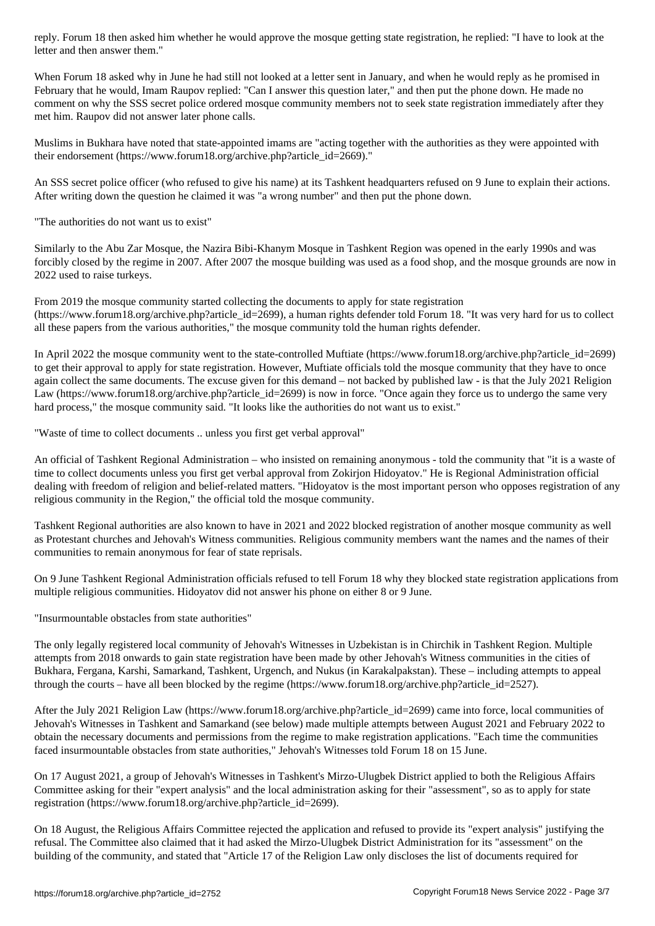When Forum 18 asked why in June he had still not looked at a letter sent in January, and when he would reply as he promised in February that he would, Imam Raupov replied: "Can I answer this question later," and then put the phone down. He made no comment on why the SSS secret police ordered mosque community members not to seek state registration immediately after they met him. Raupov did not answer later phone calls.

Muslims in Bukhara have noted that state-appointed imams are "acting together with the authorities as they were appointed with their endorsement (https://www.forum18.org/archive.php?article\_id=2669)."

An SSS secret police officer (who refused to give his name) at its Tashkent headquarters refused on 9 June to explain their actions. After writing down the question he claimed it was "a wrong number" and then put the phone down.

"The authorities do not want us to exist"

Similarly to the Abu Zar Mosque, the Nazira Bibi-Khanym Mosque in Tashkent Region was opened in the early 1990s and was forcibly closed by the regime in 2007. After 2007 the mosque building was used as a food shop, and the mosque grounds are now in 2022 used to raise turkeys.

From 2019 the mosque community started collecting the documents to apply for state registration (https://www.forum18.org/archive.php?article\_id=2699), a human rights defender told Forum 18. "It was very hard for us to collect all these papers from the various authorities," the mosque community told the human rights defender.

In April 2022 the mosque community went to the state-controlled Muftiate (https://www.forum18.org/archive.php?article\_id=2699) to get their approval to apply for state registration. However, Muftiate officials told the mosque community that they have to once again collect the same documents. The excuse given for this demand – not backed by published law - is that the July 2021 Religion Law (https://www.forum18.org/archive.php?article\_id=2699) is now in force. "Once again they force us to undergo the same very hard process," the mosque community said. "It looks like the authorities do not want us to exist."

"Waste of time to collect documents .. unless you first get verbal approval"

An official of Tashkent Regional Administration – who insisted on remaining anonymous - told the community that "it is a waste of time to collect documents unless you first get verbal approval from Zokirjon Hidoyatov." He is Regional Administration official dealing with freedom of religion and belief-related matters. "Hidoyatov is the most important person who opposes registration of any religious community in the Region," the official told the mosque community.

Tashkent Regional authorities are also known to have in 2021 and 2022 blocked registration of another mosque community as well as Protestant churches and Jehovah's Witness communities. Religious community members want the names and the names of their communities to remain anonymous for fear of state reprisals.

On 9 June Tashkent Regional Administration officials refused to tell Forum 18 why they blocked state registration applications from multiple religious communities. Hidoyatov did not answer his phone on either 8 or 9 June.

"Insurmountable obstacles from state authorities"

The only legally registered local community of Jehovah's Witnesses in Uzbekistan is in Chirchik in Tashkent Region. Multiple attempts from 2018 onwards to gain state registration have been made by other Jehovah's Witness communities in the cities of Bukhara, Fergana, Karshi, Samarkand, Tashkent, Urgench, and Nukus (in Karakalpakstan). These – including attempts to appeal through the courts – have all been blocked by the regime (https://www.forum18.org/archive.php?article\_id=2527).

After the July 2021 Religion Law (https://www.forum18.org/archive.php?article\_id=2699) came into force, local communities of Jehovah's Witnesses in Tashkent and Samarkand (see below) made multiple attempts between August 2021 and February 2022 to obtain the necessary documents and permissions from the regime to make registration applications. "Each time the communities faced insurmountable obstacles from state authorities," Jehovah's Witnesses told Forum 18 on 15 June.

On 17 August 2021, a group of Jehovah's Witnesses in Tashkent's Mirzo-Ulugbek District applied to both the Religious Affairs Committee asking for their "expert analysis" and the local administration asking for their "assessment", so as to apply for state registration (https://www.forum18.org/archive.php?article\_id=2699).

On 18 August, the Religious Affairs Committee rejected the application and refused to provide its "expert analysis" justifying the refusal. The Committee also claimed that it had asked the Mirzo-Ulugbek District Administration for its "assessment" on the building of the community, and stated that "Article 17 of the Religion Law only discloses the list of documents required for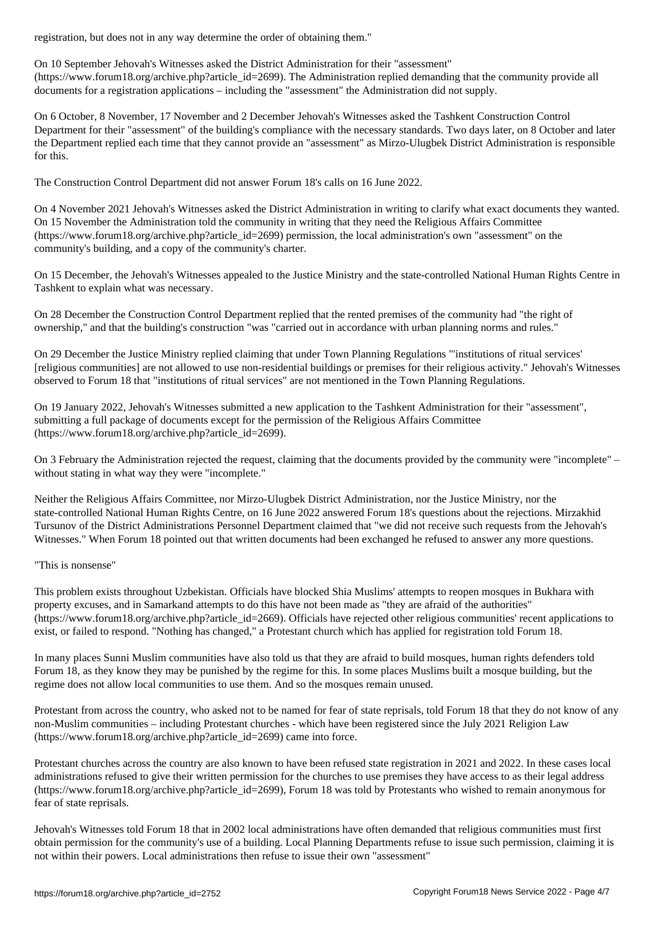On 10 September Jehovah's Witnesses asked the District Administration for their "assessment" (https://www.forum18.org/archive.php?article\_id=2699). The Administration replied demanding that the community provide all documents for a registration applications – including the "assessment" the Administration did not supply.

On 6 October, 8 November, 17 November and 2 December Jehovah's Witnesses asked the Tashkent Construction Control Department for their "assessment" of the building's compliance with the necessary standards. Two days later, on 8 October and later the Department replied each time that they cannot provide an "assessment" as Mirzo-Ulugbek District Administration is responsible for this.

The Construction Control Department did not answer Forum 18's calls on 16 June 2022.

On 4 November 2021 Jehovah's Witnesses asked the District Administration in writing to clarify what exact documents they wanted. On 15 November the Administration told the community in writing that they need the Religious Affairs Committee (https://www.forum18.org/archive.php?article\_id=2699) permission, the local administration's own "assessment" on the community's building, and a copy of the community's charter.

On 15 December, the Jehovah's Witnesses appealed to the Justice Ministry and the state-controlled National Human Rights Centre in Tashkent to explain what was necessary.

On 28 December the Construction Control Department replied that the rented premises of the community had "the right of ownership," and that the building's construction "was "carried out in accordance with urban planning norms and rules."

On 29 December the Justice Ministry replied claiming that under Town Planning Regulations "'institutions of ritual services' [religious communities] are not allowed to use non-residential buildings or premises for their religious activity." Jehovah's Witnesses observed to Forum 18 that "institutions of ritual services" are not mentioned in the Town Planning Regulations.

On 19 January 2022, Jehovah's Witnesses submitted a new application to the Tashkent Administration for their "assessment", submitting a full package of documents except for the permission of the Religious Affairs Committee (https://www.forum18.org/archive.php?article\_id=2699).

On 3 February the Administration rejected the request, claiming that the documents provided by the community were "incomplete" – without stating in what way they were "incomplete."

Neither the Religious Affairs Committee, nor Mirzo-Ulugbek District Administration, nor the Justice Ministry, nor the state-controlled National Human Rights Centre, on 16 June 2022 answered Forum 18's questions about the rejections. Mirzakhid Tursunov of the District Administrations Personnel Department claimed that "we did not receive such requests from the Jehovah's Witnesses." When Forum 18 pointed out that written documents had been exchanged he refused to answer any more questions.

### "This is nonsense"

This problem exists throughout Uzbekistan. Officials have blocked Shia Muslims' attempts to reopen mosques in Bukhara with property excuses, and in Samarkand attempts to do this have not been made as "they are afraid of the authorities" (https://www.forum18.org/archive.php?article\_id=2669). Officials have rejected other religious communities' recent applications to exist, or failed to respond. "Nothing has changed," a Protestant church which has applied for registration told Forum 18.

In many places Sunni Muslim communities have also told us that they are afraid to build mosques, human rights defenders told Forum 18, as they know they may be punished by the regime for this. In some places Muslims built a mosque building, but the regime does not allow local communities to use them. And so the mosques remain unused.

Protestant from across the country, who asked not to be named for fear of state reprisals, told Forum 18 that they do not know of any non-Muslim communities – including Protestant churches - which have been registered since the July 2021 Religion Law (https://www.forum18.org/archive.php?article\_id=2699) came into force.

Protestant churches across the country are also known to have been refused state registration in 2021 and 2022. In these cases local administrations refused to give their written permission for the churches to use premises they have access to as their legal address (https://www.forum18.org/archive.php?article\_id=2699), Forum 18 was told by Protestants who wished to remain anonymous for fear of state reprisals.

Jehovah's Witnesses told Forum 18 that in 2002 local administrations have often demanded that religious communities must first obtain permission for the community's use of a building. Local Planning Departments refuse to issue such permission, claiming it is not within their powers. Local administrations then refuse to issue their own "assessment"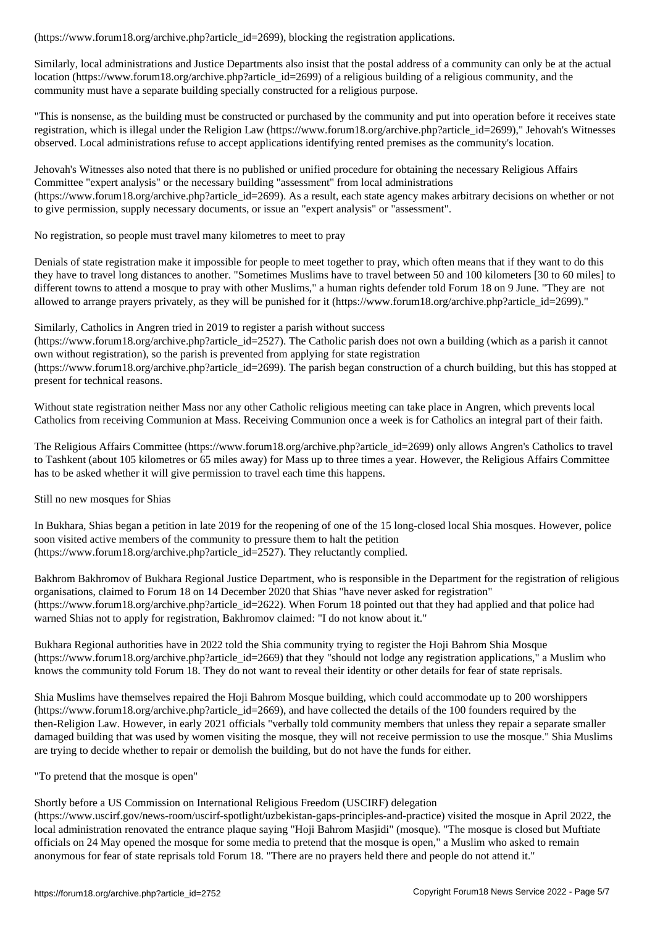Similarly, local administrations and Justice Departments also insist that the postal address of a community can only be at the actual location (https://www.forum18.org/archive.php?article\_id=2699) of a religious building of a religious community, and the community must have a separate building specially constructed for a religious purpose.

"This is nonsense, as the building must be constructed or purchased by the community and put into operation before it receives state registration, which is illegal under the Religion Law (https://www.forum18.org/archive.php?article\_id=2699)," Jehovah's Witnesses observed. Local administrations refuse to accept applications identifying rented premises as the community's location.

Jehovah's Witnesses also noted that there is no published or unified procedure for obtaining the necessary Religious Affairs Committee "expert analysis" or the necessary building "assessment" from local administrations (https://www.forum18.org/archive.php?article\_id=2699). As a result, each state agency makes arbitrary decisions on whether or not to give permission, supply necessary documents, or issue an "expert analysis" or "assessment".

No registration, so people must travel many kilometres to meet to pray

Denials of state registration make it impossible for people to meet together to pray, which often means that if they want to do this they have to travel long distances to another. "Sometimes Muslims have to travel between 50 and 100 kilometers [30 to 60 miles] to different towns to attend a mosque to pray with other Muslims," a human rights defender told Forum 18 on 9 June. "They are not allowed to arrange prayers privately, as they will be punished for it (https://www.forum18.org/archive.php?article\_id=2699)."

Similarly, Catholics in Angren tried in 2019 to register a parish without success

 $(\text{https://www.forum18.org/archive.php?article id=2527})$ . The Catholic parish does not own a building (which as a parish it cannot own without registration), so the parish is prevented from applying for state registration (https://www.forum18.org/archive.php?article\_id=2699). The parish began construction of a church building, but this has stopped at present for technical reasons.

Without state registration neither Mass nor any other Catholic religious meeting can take place in Angren, which prevents local Catholics from receiving Communion at Mass. Receiving Communion once a week is for Catholics an integral part of their faith.

The Religious Affairs Committee (https://www.forum18.org/archive.php?article\_id=2699) only allows Angren's Catholics to travel to Tashkent (about 105 kilometres or 65 miles away) for Mass up to three times a year. However, the Religious Affairs Committee has to be asked whether it will give permission to travel each time this happens.

Still no new mosques for Shias

In Bukhara, Shias began a petition in late 2019 for the reopening of one of the 15 long-closed local Shia mosques. However, police soon visited active members of the community to pressure them to halt the petition (https://www.forum18.org/archive.php?article\_id=2527). They reluctantly complied.

Bakhrom Bakhromov of Bukhara Regional Justice Department, who is responsible in the Department for the registration of religious organisations, claimed to Forum 18 on 14 December 2020 that Shias "have never asked for registration" (https://www.forum18.org/archive.php?article\_id=2622). When Forum 18 pointed out that they had applied and that police had warned Shias not to apply for registration, Bakhromov claimed: "I do not know about it."

Bukhara Regional authorities have in 2022 told the Shia community trying to register the Hoji Bahrom Shia Mosque (https://www.forum18.org/archive.php?article\_id=2669) that they "should not lodge any registration applications," a Muslim who knows the community told Forum 18. They do not want to reveal their identity or other details for fear of state reprisals.

Shia Muslims have themselves repaired the Hoji Bahrom Mosque building, which could accommodate up to 200 worshippers (https://www.forum18.org/archive.php?article\_id=2669), and have collected the details of the 100 founders required by the then-Religion Law. However, in early 2021 officials "verbally told community members that unless they repair a separate smaller damaged building that was used by women visiting the mosque, they will not receive permission to use the mosque." Shia Muslims are trying to decide whether to repair or demolish the building, but do not have the funds for either.

"To pretend that the mosque is open"

### Shortly before a US Commission on International Religious Freedom (USCIRF) delegation

(https://www.uscirf.gov/news-room/uscirf-spotlight/uzbekistan-gaps-principles-and-practice) visited the mosque in April 2022, the local administration renovated the entrance plaque saying "Hoji Bahrom Masjidi" (mosque). "The mosque is closed but Muftiate officials on 24 May opened the mosque for some media to pretend that the mosque is open," a Muslim who asked to remain anonymous for fear of state reprisals told Forum 18. "There are no prayers held there and people do not attend it."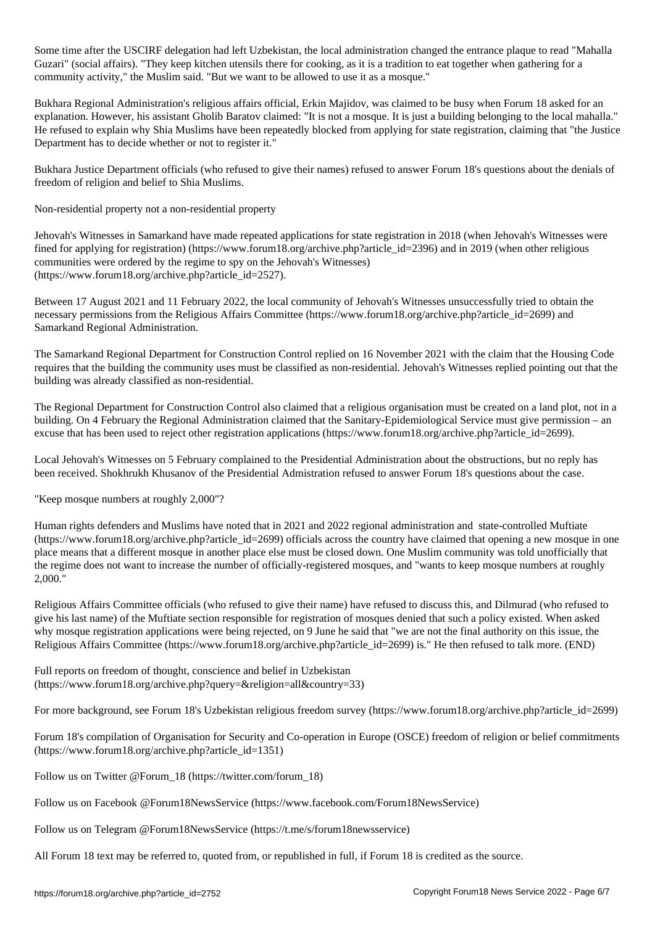Some time after the USCIRF delegation had left Uzbekistan, the local administration changed the entrance plaque to read "Mahalla Guzari" (social affairs). "They keep kitchen utensils there for cooking, as it is a tradition to eat together when gathering for a community activity," the Muslim said. "But we want to be allowed to use it as a mosque."

Bukhara Regional Administration's religious affairs official, Erkin Majidov, was claimed to be busy when Forum 18 asked for an explanation. However, his assistant Gholib Baratov claimed: "It is not a mosque. It is just a building belonging to the local mahalla." He refused to explain why Shia Muslims have been repeatedly blocked from applying for state registration, claiming that "the Justice Department has to decide whether or not to register it."

Bukhara Justice Department officials (who refused to give their names) refused to answer Forum 18's questions about the denials of freedom of religion and belief to Shia Muslims.

Non-residential property not a non-residential property

Jehovah's Witnesses in Samarkand have made repeated applications for state registration in 2018 (when Jehovah's Witnesses were fined for applying for registration) (https://www.forum18.org/archive.php?article\_id=2396) and in 2019 (when other religious communities were ordered by the regime to spy on the Jehovah's Witnesses) (https://www.forum18.org/archive.php?article\_id=2527).

Between 17 August 2021 and 11 February 2022, the local community of Jehovah's Witnesses unsuccessfully tried to obtain the necessary permissions from the Religious Affairs Committee (https://www.forum18.org/archive.php?article\_id=2699) and Samarkand Regional Administration.

The Samarkand Regional Department for Construction Control replied on 16 November 2021 with the claim that the Housing Code requires that the building the community uses must be classified as non-residential. Jehovah's Witnesses replied pointing out that the building was already classified as non-residential.

The Regional Department for Construction Control also claimed that a religious organisation must be created on a land plot, not in a building. On 4 February the Regional Administration claimed that the Sanitary-Epidemiological Service must give permission – an excuse that has been used to reject other registration applications (https://www.forum18.org/archive.php?article\_id=2699).

Local Jehovah's Witnesses on 5 February complained to the Presidential Administration about the obstructions, but no reply has been received. Shokhrukh Khusanov of the Presidential Admistration refused to answer Forum 18's questions about the case.

"Keep mosque numbers at roughly 2,000"?

Human rights defenders and Muslims have noted that in 2021 and 2022 regional administration and state-controlled Muftiate (https://www.forum18.org/archive.php?article\_id=2699) officials across the country have claimed that opening a new mosque in one place means that a different mosque in another place else must be closed down. One Muslim community was told unofficially that the regime does not want to increase the number of officially-registered mosques, and "wants to keep mosque numbers at roughly 2,000."

Religious Affairs Committee officials (who refused to give their name) have refused to discuss this, and Dilmurad (who refused to give his last name) of the Muftiate section responsible for registration of mosques denied that such a policy existed. When asked why mosque registration applications were being rejected, on 9 June he said that "we are not the final authority on this issue, the Religious Affairs Committee (https://www.forum18.org/archive.php?article\_id=2699) is." He then refused to talk more. (END)

Full reports on freedom of thought, conscience and belief in Uzbekistan (https://www.forum18.org/archive.php?query=&religion=all&country=33)

For more background, see Forum 18's Uzbekistan religious freedom survey (https://www.forum18.org/archive.php?article\_id=2699)

Forum 18's compilation of Organisation for Security and Co-operation in Europe (OSCE) freedom of religion or belief commitments (https://www.forum18.org/archive.php?article\_id=1351)

Follow us on Twitter @Forum\_18 (https://twitter.com/forum\_18)

Follow us on Facebook @Forum18NewsService (https://www.facebook.com/Forum18NewsService)

Follow us on Telegram @Forum18NewsService (https://t.me/s/forum18newsservice)

All Forum 18 text may be referred to, quoted from, or republished in full, if Forum 18 is credited as the source.